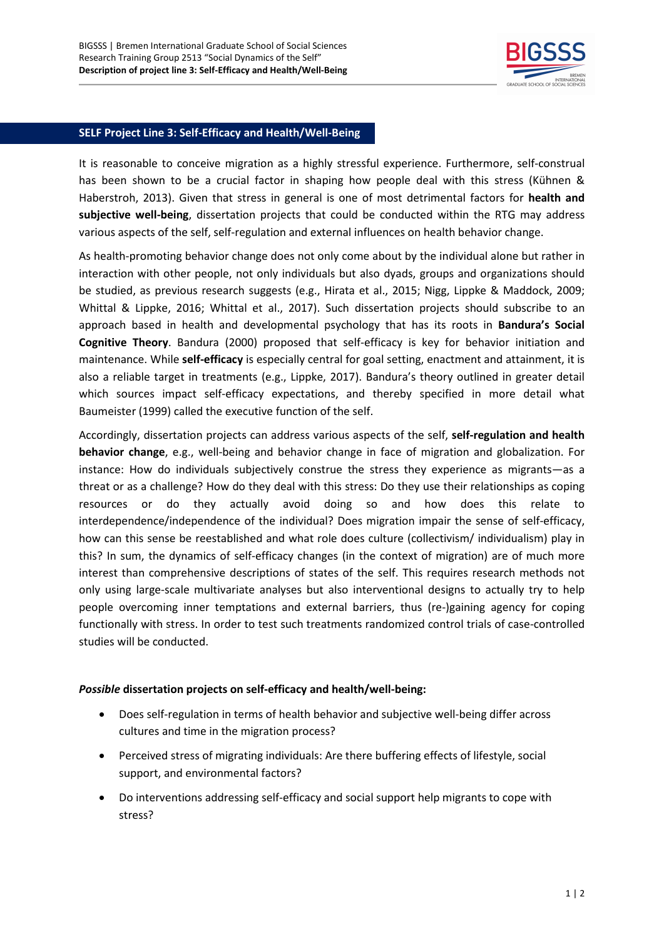

## **SELF Project Line 3: Self-Efficacy and Health/Well-Being**

It is reasonable to conceive migration as a highly stressful experience. Furthermore, self-construal has been shown to be a crucial factor in shaping how people deal with this stress (Kühnen & Haberstroh, 2013). Given that stress in general is one of most detrimental factors for **health and subjective well-being**, dissertation projects that could be conducted within the RTG may address various aspects of the self, self-regulation and external influences on health behavior change.

As health-promoting behavior change does not only come about by the individual alone but rather in interaction with other people, not only individuals but also dyads, groups and organizations should be studied, as previous research suggests (e.g., Hirata et al., 2015; Nigg, Lippke & Maddock, 2009; Whittal & Lippke, 2016; Whittal et al., 2017). Such dissertation projects should subscribe to an approach based in health and developmental psychology that has its roots in **Bandura's Social Cognitive Theory**. Bandura (2000) proposed that self-efficacy is key for behavior initiation and maintenance. While **self-efficacy** is especially central for goal setting, enactment and attainment, it is also a reliable target in treatments (e.g., Lippke, 2017). Bandura's theory outlined in greater detail which sources impact self-efficacy expectations, and thereby specified in more detail what Baumeister (1999) called the executive function of the self.

Accordingly, dissertation projects can address various aspects of the self, **self-regulation and health behavior change**, e.g., well-being and behavior change in face of migration and globalization. For instance: How do individuals subjectively construe the stress they experience as migrants—as a threat or as a challenge? How do they deal with this stress: Do they use their relationships as coping resources or do they actually avoid doing so and how does this relate to interdependence/independence of the individual? Does migration impair the sense of self-efficacy, how can this sense be reestablished and what role does culture (collectivism/ individualism) play in this? In sum, the dynamics of self-efficacy changes (in the context of migration) are of much more interest than comprehensive descriptions of states of the self. This requires research methods not only using large-scale multivariate analyses but also interventional designs to actually try to help people overcoming inner temptations and external barriers, thus (re-)gaining agency for coping functionally with stress. In order to test such treatments randomized control trials of case-controlled studies will be conducted.

## *Possible* **dissertation projects on self-efficacy and health/well-being:**

- Does self-regulation in terms of health behavior and subjective well-being differ across cultures and time in the migration process?
- Perceived stress of migrating individuals: Are there buffering effects of lifestyle, social support, and environmental factors?
- Do interventions addressing self-efficacy and social support help migrants to cope with stress?